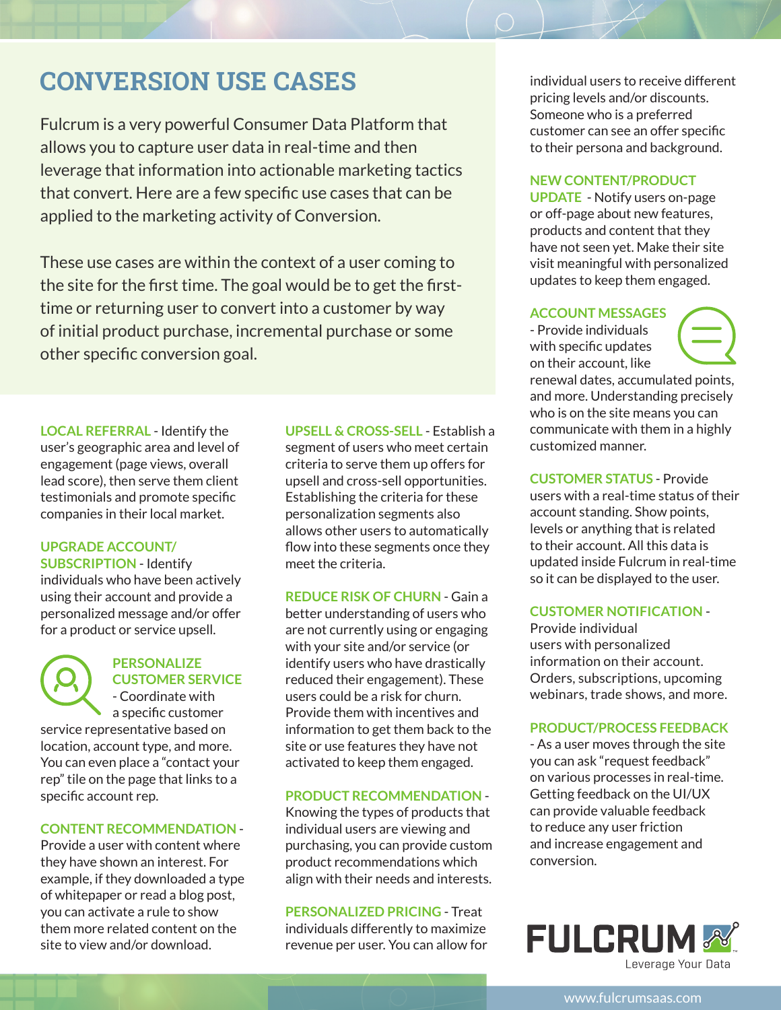# **CONVERSION USE CASES**

Fulcrum is a very powerful Consumer Data Platform that allows you to capture user data in real-time and then leverage that information into actionable marketing tactics that convert. Here are a few specific use cases that can be applied to the marketing activity of Conversion.

These use cases are within the context of a user coming to the site for the first time. The goal would be to get the firsttime or returning user to convert into a customer by way of initial product purchase, incremental purchase or some other specific conversion goal.

**LOCAL REFERRAL** - Identify the user's geographic area and level of engagement (page views, overall lead score), then serve them client testimonials and promote specific companies in their local market.

# **UPGRADE ACCOUNT/**

**SUBSCRIPTION** - Identify individuals who have been actively using their account and provide a personalized message and/or offer for a product or service upsell.



#### **PERSONALIZE CUSTOMER SERVICE** - Coordinate with

a specific customer service representative based on

location, account type, and more. You can even place a "contact your rep" tile on the page that links to a specific account rep.

## **CONTENT RECOMMENDATION** -

Provide a user with content where they have shown an interest. For example, if they downloaded a type of whitepaper or read a blog post, you can activate a rule to show them more related content on the site to view and/or download.

**UPSELL & CROSS-SELL** - Establish a segment of users who meet certain criteria to serve them up offers for upsell and cross-sell opportunities. Establishing the criteria for these personalization segments also allows other users to automatically flow into these segments once they meet the criteria.

**REDUCE RISK OF CHURN** - Gain a better understanding of users who are not currently using or engaging with your site and/or service (or identify users who have drastically reduced their engagement). These users could be a risk for churn. Provide them with incentives and information to get them back to the site or use features they have not activated to keep them engaged.

#### **PRODUCT RECOMMENDATION** -

Knowing the types of products that individual users are viewing and purchasing, you can provide custom product recommendations which align with their needs and interests.

**PERSONALIZED PRICING** - Treat individuals differently to maximize revenue per user. You can allow for

individual users to receive different pricing levels and/or discounts. Someone who is a preferred customer can see an offer specific to their persona and background.

#### **NEW CONTENT/PRODUCT**

**UPDATE** - Notify users on-page or off-page about new features, products and content that they have not seen yet. Make their site visit meaningful with personalized updates to keep them engaged.

#### **ACCOUNT MESSAGES**

- Provide individuals with specific updates on their account, like



renewal dates, accumulated points, and more. Understanding precisely who is on the site means you can communicate with them in a highly customized manner.

**CUSTOMER STATUS** - Provide

users with a real-time status of their account standing. Show points, levels or anything that is related to their account. All this data is updated inside Fulcrum in real-time so it can be displayed to the user.

#### **CUSTOMER NOTIFICATION** -

Provide individual users with personalized information on their account. Orders, subscriptions, upcoming webinars, trade shows, and more.

#### **PRODUCT/PROCESS FEEDBACK**

- As a user moves through the site you can ask "request feedback" on various processes in real-time. Getting feedback on the UI/UX can provide valuable feedback to reduce any user friction and increase engagement and conversion.



www.fulcrumsaas.com